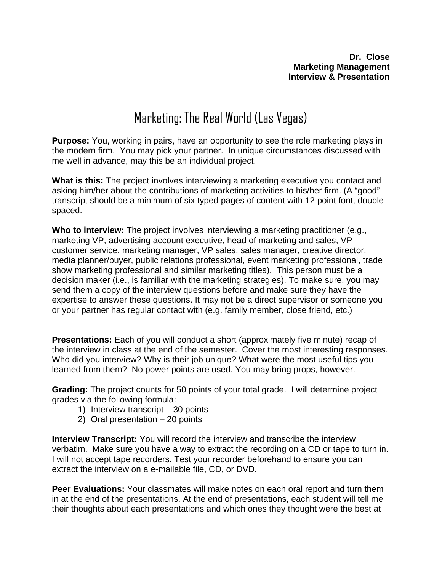# Marketing: The Real World (Las Vegas)

**Purpose:** You, working in pairs, have an opportunity to see the role marketing plays in the modern firm. You may pick your partner. In unique circumstances discussed with me well in advance, may this be an individual project.

**What is this:** The project involves interviewing a marketing executive you contact and asking him/her about the contributions of marketing activities to his/her firm. (A "good" transcript should be a minimum of six typed pages of content with 12 point font, double spaced.

**Who to interview:** The project involves interviewing a marketing practitioner (e.g., marketing VP, advertising account executive, head of marketing and sales, VP customer service, marketing manager, VP sales, sales manager, creative director, media planner/buyer, public relations professional, event marketing professional, trade show marketing professional and similar marketing titles). This person must be a decision maker (i.e., is familiar with the marketing strategies). To make sure, you may send them a copy of the interview questions before and make sure they have the expertise to answer these questions. It may not be a direct supervisor or someone you or your partner has regular contact with (e.g. family member, close friend, etc.)

**Presentations:** Each of you will conduct a short (approximately five minute) recap of the interview in class at the end of the semester. Cover the most interesting responses. Who did you interview? Why is their job unique? What were the most useful tips you learned from them? No power points are used. You may bring props, however.

**Grading:** The project counts for 50 points of your total grade. I will determine project grades via the following formula:

- 1) Interview transcript 30 points
- 2) Oral presentation 20 points

**Interview Transcript:** You will record the interview and transcribe the interview verbatim. Make sure you have a way to extract the recording on a CD or tape to turn in. I will not accept tape recorders. Test your recorder beforehand to ensure you can extract the interview on a e-mailable file, CD, or DVD.

**Peer Evaluations:** Your classmates will make notes on each oral report and turn them in at the end of the presentations. At the end of presentations, each student will tell me their thoughts about each presentations and which ones they thought were the best at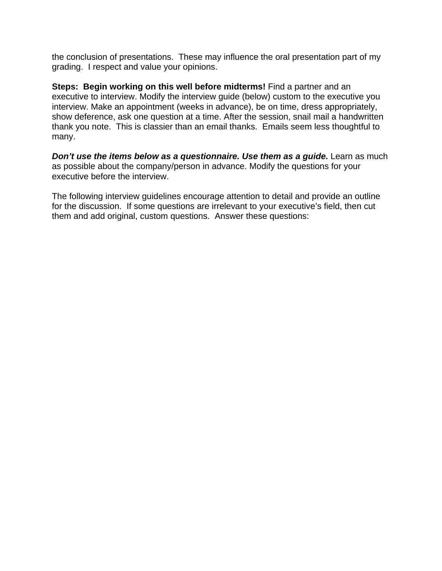the conclusion of presentations. These may influence the oral presentation part of my grading. I respect and value your opinions.

**Steps: Begin working on this well before midterms!** Find a partner and an executive to interview. Modify the interview guide (below) custom to the executive you interview. Make an appointment (weeks in advance), be on time, dress appropriately, show deference, ask one question at a time. After the session, snail mail a handwritten thank you note. This is classier than an email thanks. Emails seem less thoughtful to many.

*Don't use the items below as a questionnaire. Use them as a guide.* Learn as much as possible about the company/person in advance. Modify the questions for your executive before the interview.

The following interview guidelines encourage attention to detail and provide an outline for the discussion. If some questions are irrelevant to your executive's field, then cut them and add original, custom questions. Answer these questions: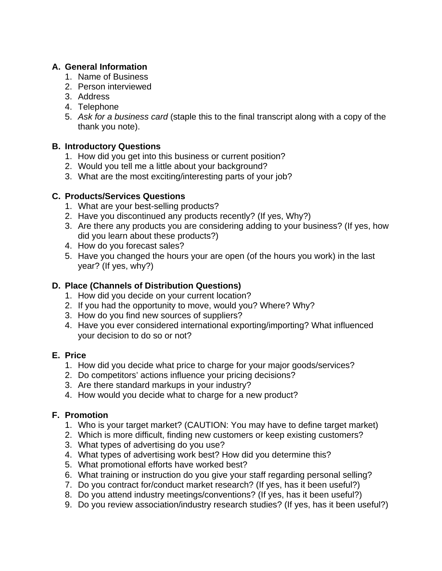# **A. General Information**

- 1. Name of Business
- 2. Person interviewed
- 3. Address
- 4. Telephone
- 5. *Ask for a business card* (staple this to the final transcript along with a copy of the thank you note).

# **B. Introductory Questions**

- 1. How did you get into this business or current position?
- 2. Would you tell me a little about your background?
- 3. What are the most exciting/interesting parts of your job?

# **C. Products/Services Questions**

- 1. What are your best-selling products?
- 2. Have you discontinued any products recently? (If yes, Why?)
- 3. Are there any products you are considering adding to your business? (If yes, how did you learn about these products?)
- 4. How do you forecast sales?
- 5. Have you changed the hours your are open (of the hours you work) in the last year? (If yes, why?)

# **D. Place (Channels of Distribution Questions)**

- 1. How did you decide on your current location?
- 2. If you had the opportunity to move, would you? Where? Why?
- 3. How do you find new sources of suppliers?
- 4. Have you ever considered international exporting/importing? What influenced your decision to do so or not?

# **E. Price**

- 1. How did you decide what price to charge for your major goods/services?
- 2. Do competitors' actions influence your pricing decisions?
- 3. Are there standard markups in your industry?
- 4. How would you decide what to charge for a new product?

# **F. Promotion**

- 1. Who is your target market? (CAUTION: You may have to define target market)
- 2. Which is more difficult, finding new customers or keep existing customers?
- 3. What types of advertising do you use?
- 4. What types of advertising work best? How did you determine this?
- 5. What promotional efforts have worked best?
- 6. What training or instruction do you give your staff regarding personal selling?
- 7. Do you contract for/conduct market research? (If yes, has it been useful?)
- 8. Do you attend industry meetings/conventions? (If yes, has it been useful?)
- 9. Do you review association/industry research studies? (If yes, has it been useful?)